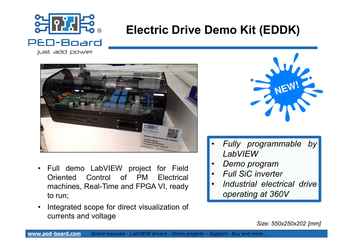

# **Electric Drive Demo Kit (EDDK)**

just add power



- Full demo LabVIEW project for Field Oriented Control of PM Electrical machines, Real-Time and FPGA VI, ready to run;
- Integrated scope for direct visualization of currents and voltage



- *Fully programmable by LabVIEW*
- *Demo program*
- *Full SiC inverter*
- *Industrial electrical drive operating at 360V*

*Size: 550x250x202 [mm]*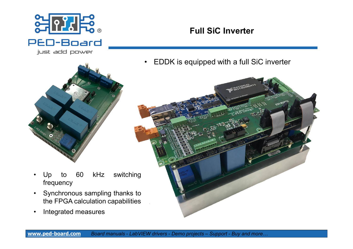

#### **Full SiC Inverter**

• EDDK is equipped with a full SiC inverter



- - Up to 60 kHz switching frequency
	- Synchronous sampling thanks to the FPGA calculation capabilities
	- Integrated measures

**[www.ped-board.com](http://www.ped-board.com)** *Board manuals - LabVIEW drivers - Demo projects – Support - Buy and more…*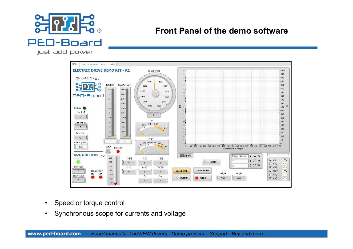

#### **Front Panel of the demo software**

just add power



- Speed or torque control
- Synchronous scope for currents and voltage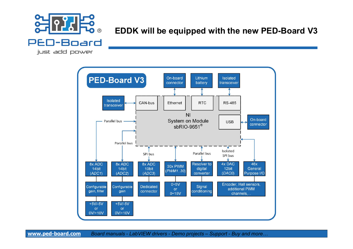

#### **EDDK will be equipped with the new PED-Board V3**

just add power



**[www.ped-board.com](http://www.ped-board.com)** *Board manuals - LabVIEW drivers - Demo projects – Support - Buy and more…*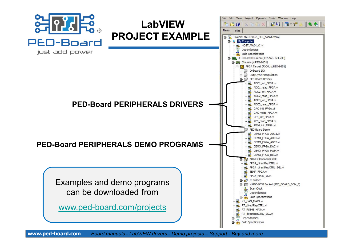

**[www.ped-board.com](http://www.ped-board.com)** *Board manuals - LabVIEW drivers - Demo projects – Support - Buy and more…*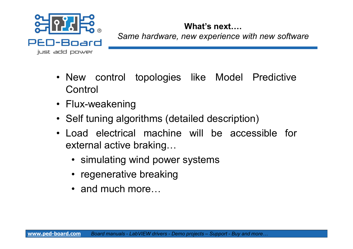

### **What's next….**

*Same hardware, new experience with new software*

- New control topologies like Model Predictive **Control**
- Flux-weakening
- Self tuning algorithms (detailed description)
- Load electrical machine will be accessible for external active braking…
	- simulating wind power systems
	- regenerative breaking
	- and much more...